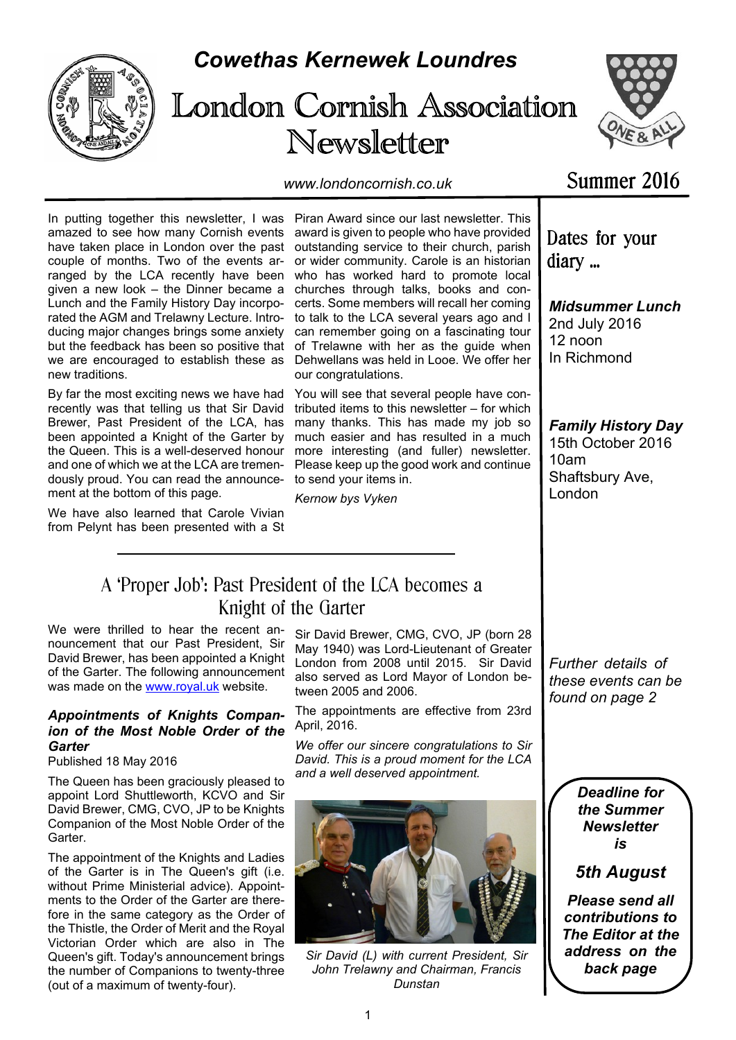

# *Cowethas Kernewek Loundres*





*www.londoncornish.co.uk*

# Summer 2016

In putting together this newsletter, I was amazed to see how many Cornish events have taken place in London over the past couple of months. Two of the events arranged by the LCA recently have been given a new look – the Dinner became a Lunch and the Family History Day incorporated the AGM and Trelawny Lecture. Introducing major changes brings some anxiety but the feedback has been so positive that we are encouraged to establish these as new traditions.

By far the most exciting news we have had recently was that telling us that Sir David Brewer, Past President of the LCA, has been appointed a Knight of the Garter by the Queen. This is a well-deserved honour and one of which we at the LCA are tremendously proud. You can read the announcement at the bottom of this page.

We have also learned that Carole Vivian from Pelynt has been presented with a St

Piran Award since our last newsletter. This award is given to people who have provided outstanding service to their church, parish or wider community. Carole is an historian who has worked hard to promote local churches through talks, books and concerts. Some members will recall her coming to talk to the LCA several years ago and I can remember going on a fascinating tour of Trelawne with her as the guide when Dehwellans was held in Looe. We offer her our congratulations.

You will see that several people have contributed items to this newsletter – for which many thanks. This has made my job so much easier and has resulted in a much more interesting (and fuller) newsletter. Please keep up the good work and continue to send your items in.

*Kernow bys Vyken*

Dates for your diary ...

*Midsummer Lunch* 2nd July 2016 12 noon In Richmond

*Family History Day* 15th October 2016 10am Shaftsbury Ave, London

# A 'Proper Job': Past President of the LCA becomes a Knight of the Garter

We were thrilled to hear the recent announcement that our Past President, Sir David Brewer, has been appointed a Knight of the Garter. The following announcement was made on the www.royal.uk website.

#### *Appointments of Knights Companion of the Most Noble Order of the Garter*

Published 18 May 2016

The Queen has been graciously pleased to appoint Lord Shuttleworth, KCVO and Sir David Brewer, CMG, CVO, JP to be Knights Companion of the Most Noble Order of the Garter.

The appointment of the Knights and Ladies of the Garter is in The Queen's gift (i.e. without Prime Ministerial advice). Appointments to the Order of the Garter are therefore in the same category as the Order of the Thistle, the Order of Merit and the Royal Victorian Order which are also in The Queen's gift. Today's announcement brings the number of Companions to twenty-three (out of a maximum of twenty-four).

Sir David Brewer, CMG, CVO, JP (born 28 May 1940) was Lord-Lieutenant of Greater London from 2008 until 2015. Sir David also served as Lord Mayor of London between 2005 and 2006.

The appointments are effective from 23rd April, 2016.

*We offer our sincere congratulations to Sir David. This is a proud moment for the LCA and a well deserved appointment.*



*Sir David (L) with current President, Sir John Trelawny and Chairman, Francis Dunstan*

*Further details of these events can be found on page 2*

> *Deadline for the Summer Newsletter is*

# *5th August*

*Please send all contributions to The Editor at the address on the back page*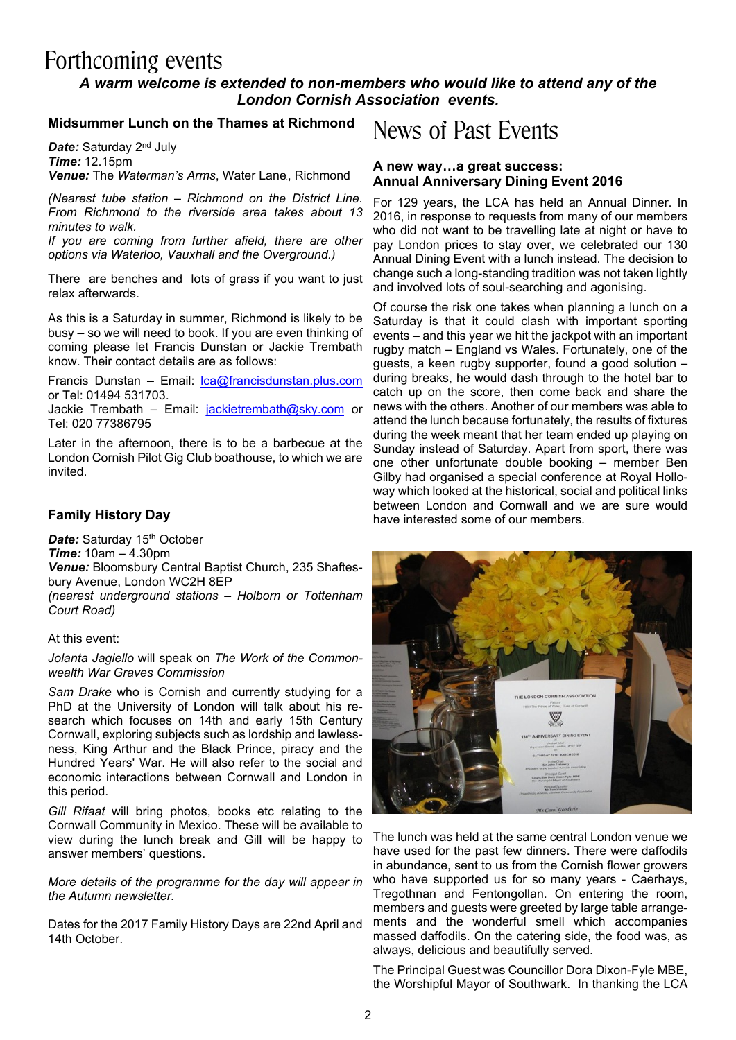# Forthcoming events

### *A warm welcome is extended to non-members who would like to attend any of the London Cornish Association events.*

#### **Midsummer Lunch on the Thames at Richmond**

*Date:* Saturday 2nd July *Time:* 12.15pm *Venue:* The *Waterman's Arms*, Water Lane,, Richmond

*(Nearest tube station – Richmond on the District Line. From Richmond to the riverside area takes about 13 minutes to walk.*

*If you are coming from further afield, there are other options via Waterloo, Vauxhall and the Overground.)*

There are benches and lots of grass if you want to just relax afterwards.

As this is a Saturday in summer, Richmond is likely to be busy – so we will need to book. If you are even thinking of coming please let Francis Dunstan or Jackie Trembath know. Their contact details are as follows:

Francis Dunstan – Email: lca@francisdunstan.plus.com or Tel: 01494 531703.

Jackie Trembath - Email: jackietrembath@sky.com or Tel: 020 77386795

Later in the afternoon, there is to be a barbecue at the London Cornish Pilot Gig Club boathouse, to which we are invited.

#### **Family History Day**

*Date:* Saturday 15<sup>th</sup> October

*Time:* 10am – 4.30pm

*Venue:* Bloomsbury Central Baptist Church, 235 Shaftesbury Avenue, London WC2H 8EP

*(nearest underground stations – Holborn or Tottenham Court Road)*

#### At this event:

*Jolanta Jagiello* will speak on *The Work of the Commonwealth War Graves Commission*

*Sam Drake* who is Cornish and currently studying for a PhD at the University of London will talk about his research which focuses on 14th and early 15th Century Cornwall, exploring subjects such as lordship and lawlessness, King Arthur and the Black Prince, piracy and the Hundred Years' War. He will also refer to the social and economic interactions between Cornwall and London in this period.

*Gill Rifaat* will bring photos, books etc relating to the Cornwall Community in Mexico. These will be available to view during the lunch break and Gill will be happy to answer members' questions.

*More details of the programme for the day will appear in the Autumn newsletter.*

Dates for the 2017 Family History Days are 22nd April and 14th October.

# News of Past Events

#### **A new way…a great success: Annual Anniversary Dining Event 2016**

For 129 years, the LCA has held an Annual Dinner. In 2016, in response to requests from many of our members who did not want to be travelling late at night or have to pay London prices to stay over, we celebrated our 130 Annual Dining Event with a lunch instead. The decision to change such a long-standing tradition was not taken lightly and involved lots of soul-searching and agonising.

Of course the risk one takes when planning a lunch on a Saturday is that it could clash with important sporting events – and this year we hit the jackpot with an important rugby match – England vs Wales. Fortunately, one of the guests, a keen rugby supporter, found a good solution – during breaks, he would dash through to the hotel bar to catch up on the score, then come back and share the news with the others. Another of our members was able to attend the lunch because fortunately, the results of fixtures during the week meant that her team ended up playing on Sunday instead of Saturday. Apart from sport, there was one other unfortunate double booking – member Ben Gilby had organised a special conference at Royal Holloway which looked at the historical, social and political links between London and Cornwall and we are sure would have interested some of our members.



The lunch was held at the same central London venue we have used for the past few dinners. There were daffodils in abundance, sent to us from the Cornish flower growers who have supported us for so many years - Caerhays, Tregothnan and Fentongollan. On entering the room, members and guests were greeted by large table arrangements and the wonderful smell which accompanies massed daffodils. On the catering side, the food was, as always, delicious and beautifully served.

The Principal Guest was Councillor Dora Dixon-Fyle MBE, the Worshipful Mayor of Southwark. In thanking the LCA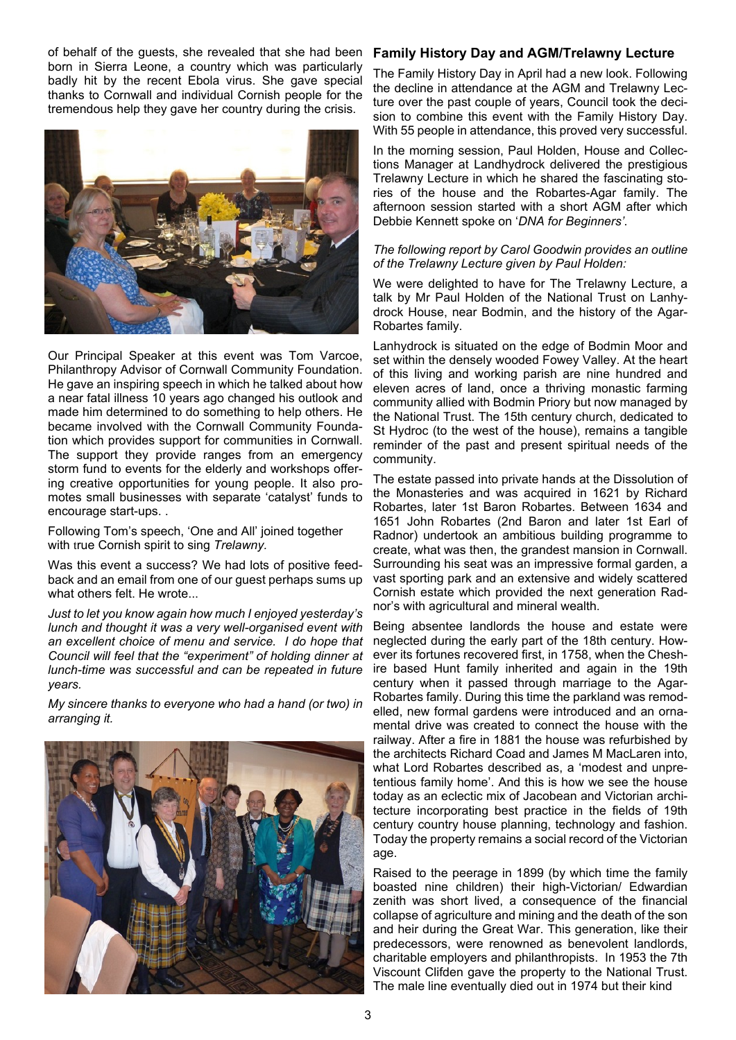of behalf of the guests, she revealed that she had been born in Sierra Leone, a country which was particularly badly hit by the recent Ebola virus. She gave special thanks to Cornwall and individual Cornish people for the tremendous help they gave her country during the crisis.



Our Principal Speaker at this event was Tom Varcoe, Philanthropy Advisor of Cornwall Community Foundation. He gave an inspiring speech in which he talked about how a near fatal illness 10 years ago changed his outlook and made him determined to do something to help others. He became involved with the Cornwall Community Foundation which provides support for communities in Cornwall. The support they provide ranges from an emergency storm fund to events for the elderly and workshops offering creative opportunities for young people. It also promotes small businesses with separate 'catalyst' funds to encourage start-ups. .

Following Tom's speech, 'One and All' joined together with true Cornish spirit to sing *Trelawny.*

Was this event a success? We had lots of positive feedback and an email from one of our guest perhaps sums up what others felt. He wrote...

*Just to let you know again how much I enjoyed yesterday's lunch and thought it was a very well-organised event with an excellent choice of menu and service. I do hope that Council will feel that the "experiment" of holding dinner at lunch-time was successful and can be repeated in future years.*

*My sincere thanks to everyone who had a hand (or two) in arranging it.*



#### **Family History Day and AGM/Trelawny Lecture**

The Family History Day in April had a new look. Following the decline in attendance at the AGM and Trelawny Lecture over the past couple of years, Council took the decision to combine this event with the Family History Day. With 55 people in attendance, this proved very successful.

In the morning session, Paul Holden, House and Collections Manager at Landhydrock delivered the prestigious Trelawny Lecture in which he shared the fascinating stories of the house and the Robartes-Agar family. The afternoon session started with a short AGM after which Debbie Kennett spoke on '*DNA for Beginners'*.

#### *The following report by Carol Goodwin provides an outline of the Trelawny Lecture given by Paul Holden:*

We were delighted to have for The Trelawny Lecture, a talk by Mr Paul Holden of the National Trust on Lanhydrock House, near Bodmin, and the history of the Agar-Robartes family.

Lanhydrock is situated on the edge of Bodmin Moor and set within the densely wooded Fowey Valley. At the heart of this living and working parish are nine hundred and eleven acres of land, once a thriving monastic farming community allied with Bodmin Priory but now managed by the National Trust. The 15th century church, dedicated to St Hydroc (to the west of the house), remains a tangible reminder of the past and present spiritual needs of the community.

The estate passed into private hands at the Dissolution of the Monasteries and was acquired in 1621 by Richard Robartes, later 1st Baron Robartes. Between 1634 and 1651 John Robartes (2nd Baron and later 1st Earl of Radnor) undertook an ambitious building programme to create, what was then, the grandest mansion in Cornwall. Surrounding his seat was an impressive formal garden, a vast sporting park and an extensive and widely scattered Cornish estate which provided the next generation Radnor's with agricultural and mineral wealth.

Being absentee landlords the house and estate were neglected during the early part of the 18th century. However its fortunes recovered first, in 1758, when the Cheshire based Hunt family inherited and again in the 19th century when it passed through marriage to the Agar-Robartes family. During this time the parkland was remodelled, new formal gardens were introduced and an ornamental drive was created to connect the house with the railway. After a fire in 1881 the house was refurbished by the architects Richard Coad and James M MacLaren into, what Lord Robartes described as, a 'modest and unpretentious family home'. And this is how we see the house today as an eclectic mix of Jacobean and Victorian architecture incorporating best practice in the fields of 19th century country house planning, technology and fashion. Today the property remains a social record of the Victorian age.

Raised to the peerage in 1899 (by which time the family boasted nine children) their high-Victorian/ Edwardian zenith was short lived, a consequence of the financial collapse of agriculture and mining and the death of the son and heir during the Great War. This generation, like their predecessors, were renowned as benevolent landlords, charitable employers and philanthropists. In 1953 the 7th Viscount Clifden gave the property to the National Trust. The male line eventually died out in 1974 but their kind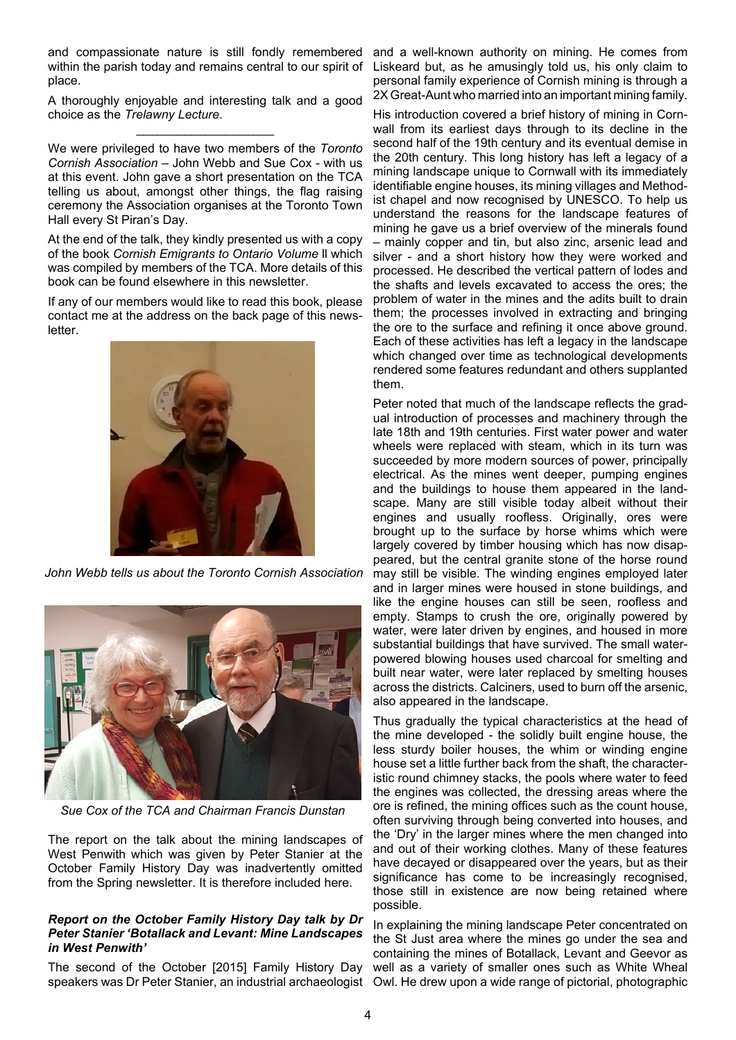and compassionate nature is still fondly remembered and a well-known authority on mining. He comes from within the parish today and remains central to our spirit of place.

A thoroughly enjoyable and interesting talk and a good choice as the *Trelawny Lecture*. \_\_\_\_\_\_\_\_\_\_\_\_\_\_\_\_\_\_\_\_

We were privileged to have two members of the *Toronto Cornish Association* – John Webb and Sue Cox - with us at this event. John gave a short presentation on the TCA telling us about, amongst other things, the flag raising ceremony the Association organises at the Toronto Town Hall every St Piran's Day.

At the end of the talk, they kindly presented us with a copy of the book *Cornish Emigrants to Ontario Volume* ll which was compiled by members of the TCA. More details of this book can be found elsewhere in this newsletter.

If any of our members would like to read this book, please contact me at the address on the back page of this newsletter.



*John Webb tells us about the Toronto Cornish Association*



*Sue Cox of the TCA and Chairman Francis Dunstan*

The report on the talk about the mining landscapes of West Penwith which was given by Peter Stanier at the October Family History Day was inadvertently omitted from the Spring newsletter. It is therefore included here.

#### *Report on the October Family History Day talk by Dr Peter Stanier 'Botallack and Levant: Mine Landscapes in West Penwith'*

The second of the October [2015] Family History Day speakers was Dr Peter Stanier, an industrial archaeologist Owl. He drew upon a wide range of pictorial, photographic

Liskeard but, as he amusingly told us, his only claim to personal family experience of Cornish mining is through a 2X Great-Aunt who married into an important mining family.

His introduction covered a brief history of mining in Cornwall from its earliest days through to its decline in the second half of the 19th century and its eventual demise in the 20th century. This long history has left a legacy of a mining landscape unique to Cornwall with its immediately identifiable engine houses, its mining villages and Methodist chapel and now recognised by UNESCO. To help us understand the reasons for the landscape features of mining he gave us a brief overview of the minerals found – mainly copper and tin, but also zinc, arsenic lead and silver - and a short history how they were worked and processed. He described the vertical pattern of lodes and the shafts and levels excavated to access the ores; the problem of water in the mines and the adits built to drain them; the processes involved in extracting and bringing the ore to the surface and refining it once above ground. Each of these activities has left a legacy in the landscape which changed over time as technological developments rendered some features redundant and others supplanted them.

Peter noted that much of the landscape reflects the gradual introduction of processes and machinery through the late 18th and 19th centuries. First water power and water wheels were replaced with steam, which in its turn was succeeded by more modern sources of power, principally electrical. As the mines went deeper, pumping engines and the buildings to house them appeared in the landscape. Many are still visible today albeit without their engines and usually roofless. Originally, ores were brought up to the surface by horse whims which were largely covered by timber housing which has now disappeared, but the central granite stone of the horse round may still be visible. The winding engines employed later and in larger mines were housed in stone buildings, and like the engine houses can still be seen, roofless and empty. Stamps to crush the ore, originally powered by water, were later driven by engines, and housed in more substantial buildings that have survived. The small waterpowered blowing houses used charcoal for smelting and built near water, were later replaced by smelting houses across the districts. Calciners, used to burn off the arsenic, also appeared in the landscape.

Thus gradually the typical characteristics at the head of the mine developed - the solidly built engine house, the less sturdy boiler houses, the whim or winding engine house set a little further back from the shaft, the characteristic round chimney stacks, the pools where water to feed the engines was collected, the dressing areas where the ore is refined, the mining offices such as the count house, often surviving through being converted into houses, and the 'Dry' in the larger mines where the men changed into and out of their working clothes. Many of these features have decayed or disappeared over the years, but as their significance has come to be increasingly recognised, those still in existence are now being retained where possible.

In explaining the mining landscape Peter concentrated on the St Just area where the mines go under the sea and containing the mines of Botallack, Levant and Geevor as well as a variety of smaller ones such as White Wheal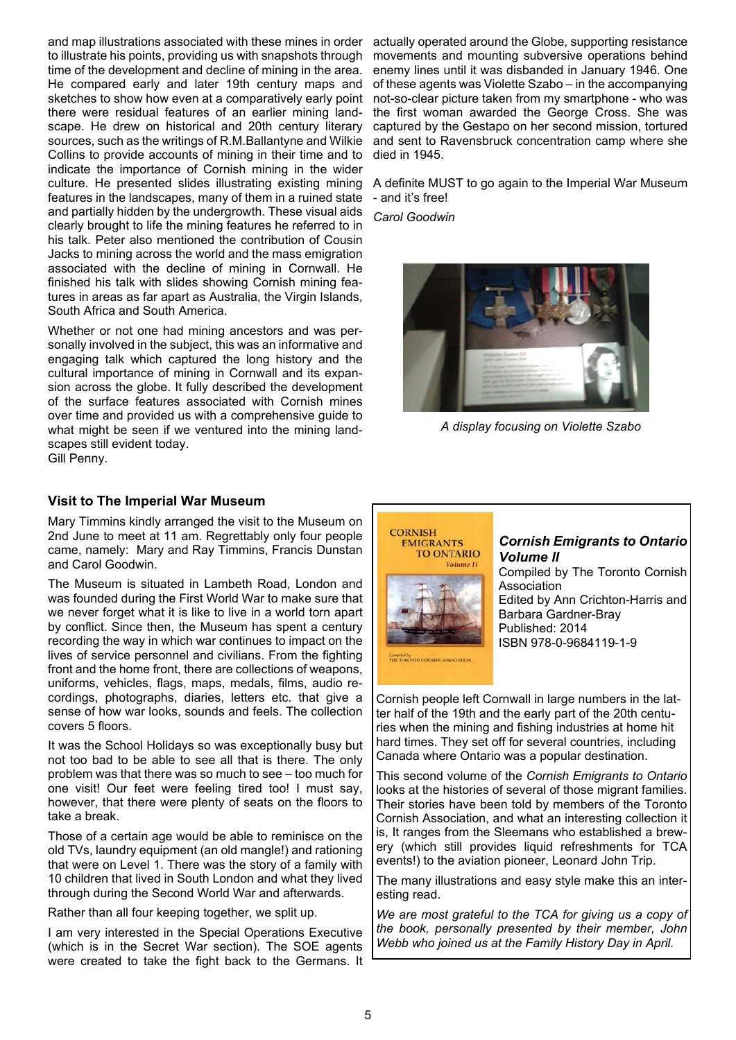and map illustrations associated with these mines in order to illustrate his points, providing us with snapshots through time of the development and decline of mining in the area. He compared early and later 19th century maps and sketches to show how even at a comparatively early point there were residual features of an earlier mining landscape. He drew on historical and 20th century literary sources, such as the writings of R.M.Ballantyne and Wilkie Collins to provide accounts of mining in their time and to indicate the importance of Cornish mining in the wider culture. He presented slides illustrating existing mining features in the landscapes, many of them in a ruined state and partially hidden by the undergrowth. These visual aids clearly brought to life the mining features he referred to in his talk. Peter also mentioned the contribution of Cousin Jacks to mining across the world and the mass emigration associated with the decline of mining in Cornwall. He finished his talk with slides showing Cornish mining features in areas as far apart as Australia, the Virgin Islands, South Africa and South America.

Whether or not one had mining ancestors and was personally involved in the subject, this was an informative and engaging talk which captured the long history and the cultural importance of mining in Cornwall and its expansion across the globe. It fully described the development of the surface features associated with Cornish mines over time and provided us with a comprehensive guide to what might be seen if we ventured into the mining landscapes still evident today. Gill Penny.

#### **Visit to The Imperial War Museum**

Mary Timmins kindly arranged the visit to the Museum on 2nd June to meet at 11 am. Regrettably only four people came, namely: Mary and Ray Timmins, Francis Dunstan and Carol Goodwin.

The Museum is situated in Lambeth Road, London and was founded during the First World War to make sure that we never forget what it is like to live in a world torn apart by conflict. Since then, the Museum has spent a century recording the way in which war continues to impact on the lives of service personnel and civilians. From the fighting front and the home front, there are collections of weapons, uniforms, vehicles, flags, maps, medals, films, audio recordings, photographs, diaries, letters etc. that give a sense of how war looks, sounds and feels. The collection covers 5 floors.

It was the School Holidays so was exceptionally busy but not too bad to be able to see all that is there. The only problem was that there was so much to see – too much for one visit! Our feet were feeling tired too! I must say, however, that there were plenty of seats on the floors to take a break.

Those of a certain age would be able to reminisce on the old TVs, laundry equipment (an old mangle!) and rationing that were on Level 1. There was the story of a family with 10 children that lived in South London and what they lived through during the Second World War and afterwards.

Rather than all four keeping together, we split up.

I am very interested in the Special Operations Executive (which is in the Secret War section). The SOE agents were created to take the fight back to the Germans. It

actually operated around the Globe, supporting resistance movements and mounting subversive operations behind enemy lines until it was disbanded in January 1946. One of these agents was Violette Szabo – in the accompanying not-so-clear picture taken from my smartphone - who was the first woman awarded the George Cross. She was captured by the Gestapo on her second mission, tortured and sent to Ravensbruck concentration camp where she died in 1945.

A definite MUST to go again to the Imperial War Museum - and it's free!

*Carol Goodwin*



*A display focusing on Violette Szabo*



Cornish people left Cornwall in large numbers in the latter half of the 19th and the early part of the 20th centuries when the mining and fishing industries at home hit hard times. They set off for several countries, including Canada where Ontario was a popular destination.

This second volume of the *Cornish Emigrants to Ontario* looks at the histories of several of those migrant families. Their stories have been told by members of the Toronto Cornish Association, and what an interesting collection it is, It ranges from the Sleemans who established a brewery (which still provides liquid refreshments for TCA events!) to the aviation pioneer, Leonard John Trip.

The many illustrations and easy style make this an interesting read.

*We are most grateful to the TCA for giving us a copy of the book, personally presented by their member, John Webb who joined us at the Family History Day in April.*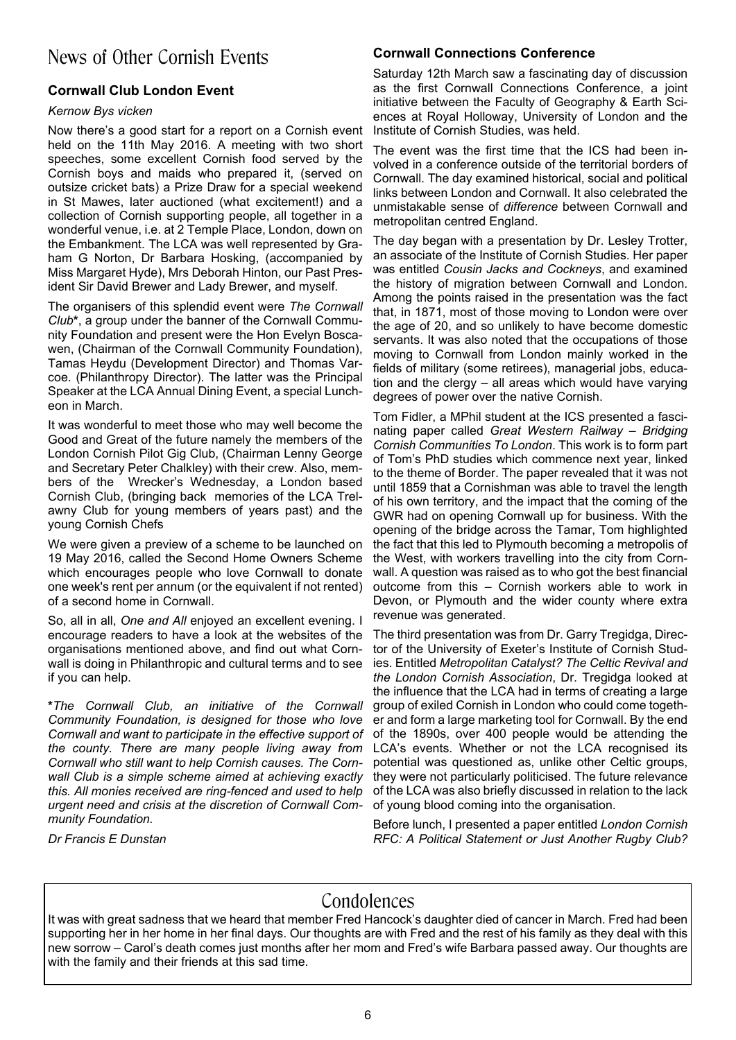# News of Other Cornish Events

### **Cornwall Club London Event**

#### *Kernow Bys vicken*

Now there's a good start for a report on a Cornish event held on the 11th May 2016. A meeting with two short speeches, some excellent Cornish food served by the Cornish boys and maids who prepared it, (served on outsize cricket bats) a Prize Draw for a special weekend in St Mawes, later auctioned (what excitement!) and a collection of Cornish supporting people, all together in a wonderful venue, i.e. at 2 Temple Place, London, down on the Embankment. The LCA was well represented by Graham G Norton, Dr Barbara Hosking, (accompanied by Miss Margaret Hyde), Mrs Deborah Hinton, our Past President Sir David Brewer and Lady Brewer, and myself.

The organisers of this splendid event were *The Cornwall Club***\***, a group under the banner of the Cornwall Community Foundation and present were the Hon Evelyn Boscawen, (Chairman of the Cornwall Community Foundation), Tamas Heydu (Development Director) and Thomas Varcoe. (Philanthropy Director). The latter was the Principal Speaker at the LCA Annual Dining Event, a special Luncheon in March.

It was wonderful to meet those who may well become the Good and Great of the future namely the members of the London Cornish Pilot Gig Club, (Chairman Lenny George and Secretary Peter Chalkley) with their crew. Also, members of the Wrecker's Wednesday, a London based Cornish Club, (bringing back memories of the LCA Trelawny Club for young members of years past) and the young Cornish Chefs

We were given a preview of a scheme to be launched on 19 May 2016, called the Second Home Owners Scheme which encourages people who love Cornwall to donate one week's rent per annum (or the equivalent if not rented) of a second home in Cornwall.

So, all in all, *One and All* enjoyed an excellent evening. I encourage readers to have a look at the websites of the organisations mentioned above, and find out what Cornwall is doing in Philanthropic and cultural terms and to see if you can help.

**\****The Cornwall Club, an initiative of the Cornwall Community Foundation, is designed for those who love Cornwall and want to participate in the effective support of the county. There are many people living away from Cornwall who still want to help Cornish causes. The Cornwall Club is a simple scheme aimed at achieving exactly this. All monies received are ring-fenced and used to help urgent need and crisis at the discretion of Cornwall Community Foundation.*

*Dr Francis E Dunstan*

### **Cornwall Connections Conference**

Saturday 12th March saw a fascinating day of discussion as the first Cornwall Connections Conference, a joint initiative between the Faculty of Geography & Earth Sciences at Royal Holloway, University of London and the Institute of Cornish Studies, was held.

The event was the first time that the ICS had been involved in a conference outside of the territorial borders of Cornwall. The day examined historical, social and political links between London and Cornwall. It also celebrated the unmistakable sense of *difference* between Cornwall and metropolitan centred England.

The day began with a presentation by Dr. Lesley Trotter, an associate of the Institute of Cornish Studies. Her paper was entitled *Cousin Jacks and Cockneys*, and examined the history of migration between Cornwall and London. Among the points raised in the presentation was the fact that, in 1871, most of those moving to London were over the age of 20, and so unlikely to have become domestic servants. It was also noted that the occupations of those moving to Cornwall from London mainly worked in the fields of military (some retirees), managerial jobs, education and the clergy – all areas which would have varying degrees of power over the native Cornish.

Tom Fidler, a MPhil student at the ICS presented a fascinating paper called *Great Western Railway – Bridging Cornish Communities To London*. This work is to form part of Tom's PhD studies which commence next year, linked to the theme of Border. The paper revealed that it was not until 1859 that a Cornishman was able to travel the length of his own territory, and the impact that the coming of the GWR had on opening Cornwall up for business. With the opening of the bridge across the Tamar, Tom highlighted the fact that this led to Plymouth becoming a metropolis of the West, with workers travelling into the city from Cornwall. A question was raised as to who got the best financial outcome from this – Cornish workers able to work in Devon, or Plymouth and the wider county where extra revenue was generated.

The third presentation was from Dr. Garry Tregidga, Director of the University of Exeter's Institute of Cornish Studies. Entitled *Metropolitan Catalyst? The Celtic Revival and the London Cornish Association*, Dr. Tregidga looked at the influence that the LCA had in terms of creating a large group of exiled Cornish in London who could come together and form a large marketing tool for Cornwall. By the end of the 1890s, over 400 people would be attending the LCA's events. Whether or not the LCA recognised its potential was questioned as, unlike other Celtic groups, they were not particularly politicised. The future relevance of the LCA was also briefly discussed in relation to the lack of young blood coming into the organisation.

Before lunch, I presented a paper entitled *London Cornish RFC: A Political Statement or Just Another Rugby Club?*

# Condolences

It was with great sadness that we heard that member Fred Hancock's daughter died of cancer in March. Fred had been supporting her in her home in her final days. Our thoughts are with Fred and the rest of his family as they deal with this new sorrow – Carol's death comes just months after her mom and Fred's wife Barbara passed away. Our thoughts are with the family and their friends at this sad time.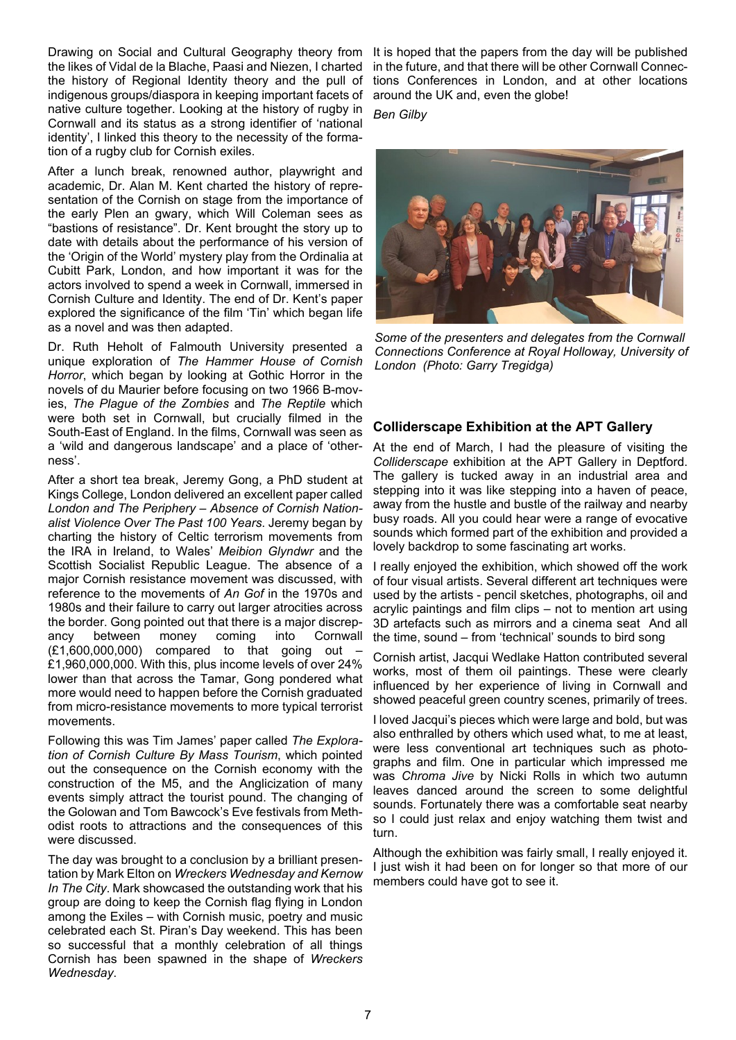Drawing on Social and Cultural Geography theory from the likes of Vidal de la Blache, Paasi and Niezen, I charted the history of Regional Identity theory and the pull of indigenous groups/diaspora in keeping important facets of native culture together. Looking at the history of rugby in Cornwall and its status as a strong identifier of 'national identity', I linked this theory to the necessity of the formation of a rugby club for Cornish exiles.

After a lunch break, renowned author, playwright and academic, Dr. Alan M. Kent charted the history of representation of the Cornish on stage from the importance of the early Plen an gwary, which Will Coleman sees as "bastions of resistance". Dr. Kent brought the story up to date with details about the performance of his version of the 'Origin of the World' mystery play from the Ordinalia at Cubitt Park, London, and how important it was for the actors involved to spend a week in Cornwall, immersed in Cornish Culture and Identity. The end of Dr. Kent's paper explored the significance of the film 'Tin' which began life as a novel and was then adapted.

Dr. Ruth Heholt of Falmouth University presented a unique exploration of *The Hammer House of Cornish Horror*, which began by looking at Gothic Horror in the novels of du Maurier before focusing on two 1966 B-movies, *The Plague of the Zombies* and *The Reptile* which were both set in Cornwall, but crucially filmed in the South-East of England. In the films, Cornwall was seen as a 'wild and dangerous landscape' and a place of 'otherness'.

After a short tea break, Jeremy Gong, a PhD student at Kings College, London delivered an excellent paper called *London and The Periphery – Absence of Cornish Nationalist Violence Over The Past 100 Years*. Jeremy began by charting the history of Celtic terrorism movements from the IRA in Ireland, to Wales' *Meibion Glyndwr* and the Scottish Socialist Republic League. The absence of a major Cornish resistance movement was discussed, with reference to the movements of *An Gof* in the 1970s and 1980s and their failure to carry out larger atrocities across the border. Gong pointed out that there is a major discrepancy between money coming into Cornwall  $(E1,600,000,000)$  compared to that going out  $-$ £1,960,000,000. With this, plus income levels of over 24% lower than that across the Tamar, Gong pondered what more would need to happen before the Cornish graduated from micro-resistance movements to more typical terrorist movements.

Following this was Tim James' paper called *The Exploration of Cornish Culture By Mass Tourism*, which pointed out the consequence on the Cornish economy with the construction of the M5, and the Anglicization of many events simply attract the tourist pound. The changing of the Golowan and Tom Bawcock's Eve festivals from Methodist roots to attractions and the consequences of this were discussed.

The day was brought to a conclusion by a brilliant presentation by Mark Elton on *Wreckers Wednesday and Kernow In The City*. Mark showcased the outstanding work that his group are doing to keep the Cornish flag flying in London among the Exiles – with Cornish music, poetry and music celebrated each St. Piran's Day weekend. This has been so successful that a monthly celebration of all things Cornish has been spawned in the shape of *Wreckers Wednesday*.

It is hoped that the papers from the day will be published in the future, and that there will be other Cornwall Connections Conferences in London, and at other locations around the UK and, even the globe!

*Ben Gilby*



*Some of the presenters and delegates from the Cornwall Connections Conference at Royal Holloway, University of London (Photo: Garry Tregidga)*

#### **Colliderscape Exhibition at the APT Gallery**

At the end of March, I had the pleasure of visiting the *Colliderscape* exhibition at the APT Gallery in Deptford. The gallery is tucked away in an industrial area and stepping into it was like stepping into a haven of peace, away from the hustle and bustle of the railway and nearby busy roads. All you could hear were a range of evocative sounds which formed part of the exhibition and provided a lovely backdrop to some fascinating art works.

I really enjoyed the exhibition, which showed off the work of four visual artists. Several different art techniques were used by the artists - pencil sketches, photographs, oil and acrylic paintings and film clips – not to mention art using 3D artefacts such as mirrors and a cinema seat And all the time, sound – from 'technical' sounds to bird song

Cornish artist, Jacqui Wedlake Hatton contributed several works, most of them oil paintings. These were clearly influenced by her experience of living in Cornwall and showed peaceful green country scenes, primarily of trees.

I loved Jacqui's pieces which were large and bold, but was also enthralled by others which used what, to me at least, were less conventional art techniques such as photographs and film. One in particular which impressed me was *Chroma Jive* by Nicki Rolls in which two autumn leaves danced around the screen to some delightful sounds. Fortunately there was a comfortable seat nearby so I could just relax and enjoy watching them twist and turn.

Although the exhibition was fairly small, I really enjoyed it. I just wish it had been on for longer so that more of our members could have got to see it.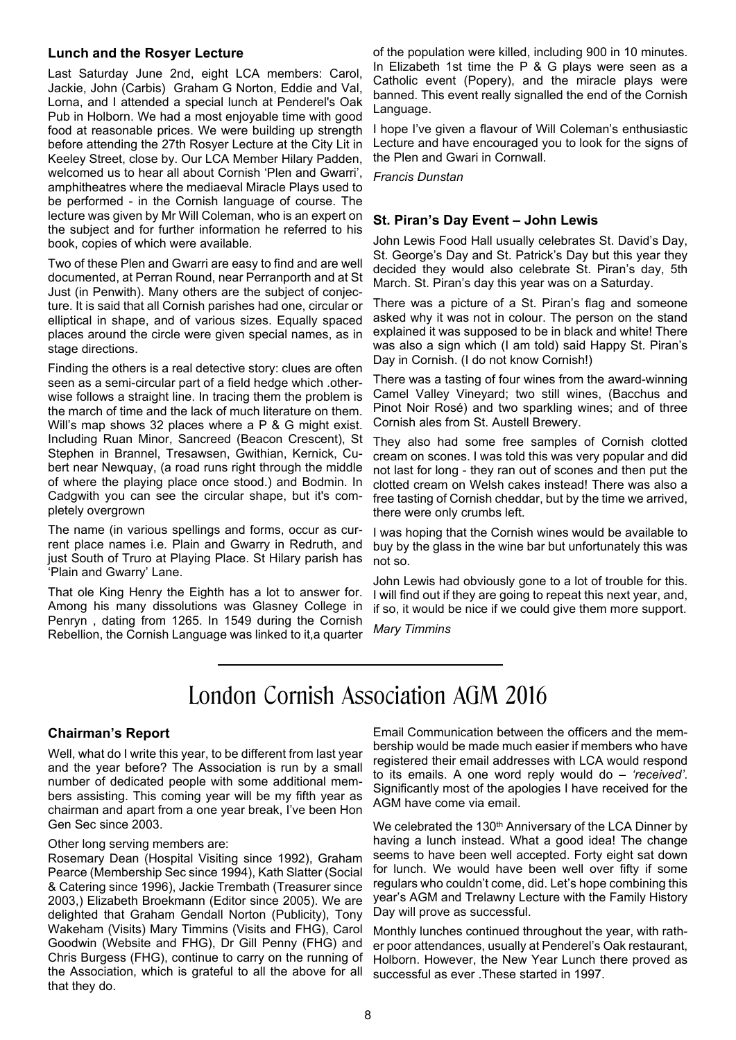#### **Lunch and the Rosyer Lecture**

Last Saturday June 2nd, eight LCA members: Carol, Jackie, John (Carbis) Graham G Norton, Eddie and Val, Lorna, and I attended a special lunch at Penderel's Oak Pub in Holborn. We had a most enjoyable time with good food at reasonable prices. We were building up strength before attending the 27th Rosyer Lecture at the City Lit in Keeley Street, close by. Our LCA Member Hilary Padden, welcomed us to hear all about Cornish 'Plen and Gwarri', amphitheatres where the mediaeval Miracle Plays used to be performed - in the Cornish language of course. The lecture was given by Mr Will Coleman, who is an expert on the subject and for further information he referred to his book, copies of which were available.

Two of these Plen and Gwarri are easy to find and are well documented, at Perran Round, near Perranporth and at St Just (in Penwith). Many others are the subject of conjecture. It is said that all Cornish parishes had one, circular or elliptical in shape, and of various sizes. Equally spaced places around the circle were given special names, as in stage directions.

Finding the others is a real detective story: clues are often seen as a semi-circular part of a field hedge which .otherwise follows a straight line. In tracing them the problem is the march of time and the lack of much literature on them. Will's map shows 32 places where a P & G might exist. Including Ruan Minor, Sancreed (Beacon Crescent), St Stephen in Brannel, Tresawsen, Gwithian, Kernick, Cubert near Newquay, (a road runs right through the middle of where the playing place once stood.) and Bodmin. In Cadgwith you can see the circular shape, but it's completely overgrown

The name (in various spellings and forms, occur as current place names i.e. Plain and Gwarry in Redruth, and just South of Truro at Playing Place. St Hilary parish has 'Plain and Gwarry' Lane.

That ole King Henry the Eighth has a lot to answer for. Among his many dissolutions was Glasney College in Penryn , dating from 1265. In 1549 during the Cornish Rebellion, the Cornish Language was linked to it,a quarter

of the population were killed, including 900 in 10 minutes. In Elizabeth 1st time the P & G plays were seen as a Catholic event (Popery), and the miracle plays were banned. This event really signalled the end of the Cornish Language.

I hope I've given a flavour of Will Coleman's enthusiastic Lecture and have encouraged you to look for the signs of the Plen and Gwari in Cornwall.

*Francis Dunstan*

#### **St. Piran's Day Event – John Lewis**

John Lewis Food Hall usually celebrates St. David's Day, St. George's Day and St. Patrick's Day but this year they decided they would also celebrate St. Piran's day, 5th March. St. Piran's day this year was on a Saturday.

There was a picture of a St. Piran's flag and someone asked why it was not in colour. The person on the stand explained it was supposed to be in black and white! There was also a sign which (I am told) said Happy St. Piran's Day in Cornish. (I do not know Cornish!)

There was a tasting of four wines from the award-winning Camel Valley Vineyard; two still wines, (Bacchus and Pinot Noir Rosé) and two sparkling wines; and of three Cornish ales from St. Austell Brewery.

They also had some free samples of Cornish clotted cream on scones. I was told this was very popular and did not last for long - they ran out of scones and then put the clotted cream on Welsh cakes instead! There was also a free tasting of Cornish cheddar, but by the time we arrived, there were only crumbs left.

I was hoping that the Cornish wines would be available to buy by the glass in the wine bar but unfortunately this was not so.

John Lewis had obviously gone to a lot of trouble for this. I will find out if they are going to repeat this next year, and, if so, it would be nice if we could give them more support.

*Mary Timmins*

# London Cornish Association AGM 2016

#### **Chairman's Report**

Well, what do I write this year, to be different from last year and the year before? The Association is run by a small number of dedicated people with some additional members assisting. This coming year will be my fifth year as chairman and apart from a one year break, I've been Hon Gen Sec since 2003.

#### Other long serving members are:

Rosemary Dean (Hospital Visiting since 1992), Graham Pearce (Membership Sec since 1994), Kath Slatter (Social & Catering since 1996), Jackie Trembath (Treasurer since 2003,) Elizabeth Broekmann (Editor since 2005). We are delighted that Graham Gendall Norton (Publicity), Tony Wakeham (Visits) Mary Timmins (Visits and FHG), Carol Goodwin (Website and FHG), Dr Gill Penny (FHG) and Chris Burgess (FHG), continue to carry on the running of the Association, which is grateful to all the above for all that they do.

Email Communication between the officers and the membership would be made much easier if members who have registered their email addresses with LCA would respond to its emails. A one word reply would do – *'received'*. Significantly most of the apologies I have received for the AGM have come via email.

We celebrated the 130<sup>th</sup> Anniversary of the LCA Dinner by having a lunch instead. What a good idea! The change seems to have been well accepted. Forty eight sat down for lunch. We would have been well over fifty if some regulars who couldn't come, did. Let's hope combining this year's AGM and Trelawny Lecture with the Family History Day will prove as successful.

Monthly lunches continued throughout the year, with rather poor attendances, usually at Penderel's Oak restaurant, Holborn. However, the New Year Lunch there proved as successful as ever .These started in 1997.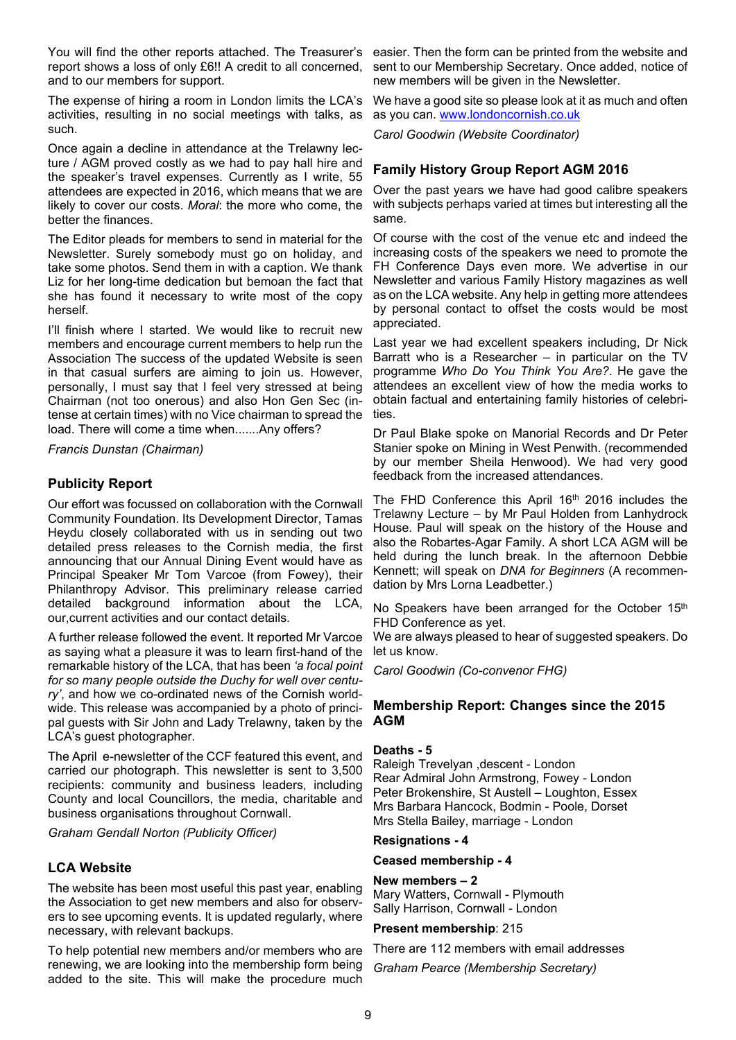You will find the other reports attached. The Treasurer's easier. Then the form can be printed from the website and report shows a loss of only £6!! A credit to all concerned, and to our members for support.

The expense of hiring a room in London limits the LCA's activities, resulting in no social meetings with talks, as such.

Once again a decline in attendance at the Trelawny lecture / AGM proved costly as we had to pay hall hire and the speaker's travel expenses. Currently as I write, 55 attendees are expected in 2016, which means that we are likely to cover our costs. *Moral*: the more who come, the better the finances.

The Editor pleads for members to send in material for the Newsletter. Surely somebody must go on holiday, and take some photos. Send them in with a caption. We thank Liz for her long-time dedication but bemoan the fact that she has found it necessary to write most of the copy herself.

I'll finish where I started. We would like to recruit new members and encourage current members to help run the Association The success of the updated Website is seen in that casual surfers are aiming to join us. However, personally, I must say that I feel very stressed at being Chairman (not too onerous) and also Hon Gen Sec (intense at certain times) with no Vice chairman to spread the load. There will come a time when.......Any offers?

*Francis Dunstan (Chairman)*

### **Publicity Report**

Our effort was focussed on collaboration with the Cornwall Community Foundation. Its Development Director, Tamas Heydu closely collaborated with us in sending out two detailed press releases to the Cornish media, the first announcing that our Annual Dining Event would have as Principal Speaker Mr Tom Varcoe (from Fowey), their Philanthropy Advisor. This preliminary release carried detailed background information about the LCA, our,current activities and our contact details.

A further release followed the event. It reported Mr Varcoe as saying what a pleasure it was to learn first-hand of the remarkable history of the LCA, that has been *'a focal point for so many people outside the Duchy for well over century'*, and how we co-ordinated news of the Cornish worldwide. This release was accompanied by a photo of principal guests with Sir John and Lady Trelawny, taken by the LCA's guest photographer.

The April e-newsletter of the CCF featured this event, and carried our photograph. This newsletter is sent to 3,500 recipients: community and business leaders, including County and local Councillors, the media, charitable and business organisations throughout Cornwall.

*Graham Gendall Norton (Publicity Officer)*

#### **LCA Website**

The website has been most useful this past year, enabling the Association to get new members and also for observers to see upcoming events. It is updated regularly, where necessary, with relevant backups.

To help potential new members and/or members who are renewing, we are looking into the membership form being added to the site. This will make the procedure much

sent to our Membership Secretary. Once added, notice of new members will be given in the Newsletter.

We have a good site so please look at it as much and often as you can. www.londoncornish.co.uk

*Carol Goodwin (Website Coordinator)*

#### **Family History Group Report AGM 2016**

Over the past years we have had good calibre speakers with subjects perhaps varied at times but interesting all the same.

Of course with the cost of the venue etc and indeed the increasing costs of the speakers we need to promote the FH Conference Days even more. We advertise in our Newsletter and various Family History magazines as well as on the LCA website. Any help in getting more attendees by personal contact to offset the costs would be most appreciated.

Last year we had excellent speakers including, Dr Nick Barratt who is a Researcher – in particular on the TV programme *Who Do You Think You Are?*. He gave the attendees an excellent view of how the media works to obtain factual and entertaining family histories of celebrities.

Dr Paul Blake spoke on Manorial Records and Dr Peter Stanier spoke on Mining in West Penwith. (recommended by our member Sheila Henwood). We had very good feedback from the increased attendances.

The FHD Conference this April  $16<sup>th</sup>$  2016 includes the Trelawny Lecture – by Mr Paul Holden from Lanhydrock House. Paul will speak on the history of the House and also the Robartes-Agar Family. A short LCA AGM will be held during the lunch break. In the afternoon Debbie Kennett; will speak on *DNA for Beginners* (A recommendation by Mrs Lorna Leadbetter.)

No Speakers have been arranged for the October 15<sup>th</sup> FHD Conference as yet.

We are always pleased to hear of suggested speakers. Do let us know.

*Carol Goodwin (Co-convenor FHG)*

#### **Membership Report: Changes since the 2015 AGM**

#### **Deaths - 5**

Raleigh Trevelyan ,descent - London Rear Admiral John Armstrong, Fowey - London Peter Brokenshire, St Austell – Loughton, Essex Mrs Barbara Hancock, Bodmin - Poole, Dorset Mrs Stella Bailey, marriage - London

#### **Resignations - 4**

#### **Ceased membership - 4**

**New members – 2** Mary Watters, Cornwall - Plymouth Sally Harrison, Cornwall - London

**Present membership**: 215

There are 112 members with email addresses

*Graham Pearce (Membership Secretary)*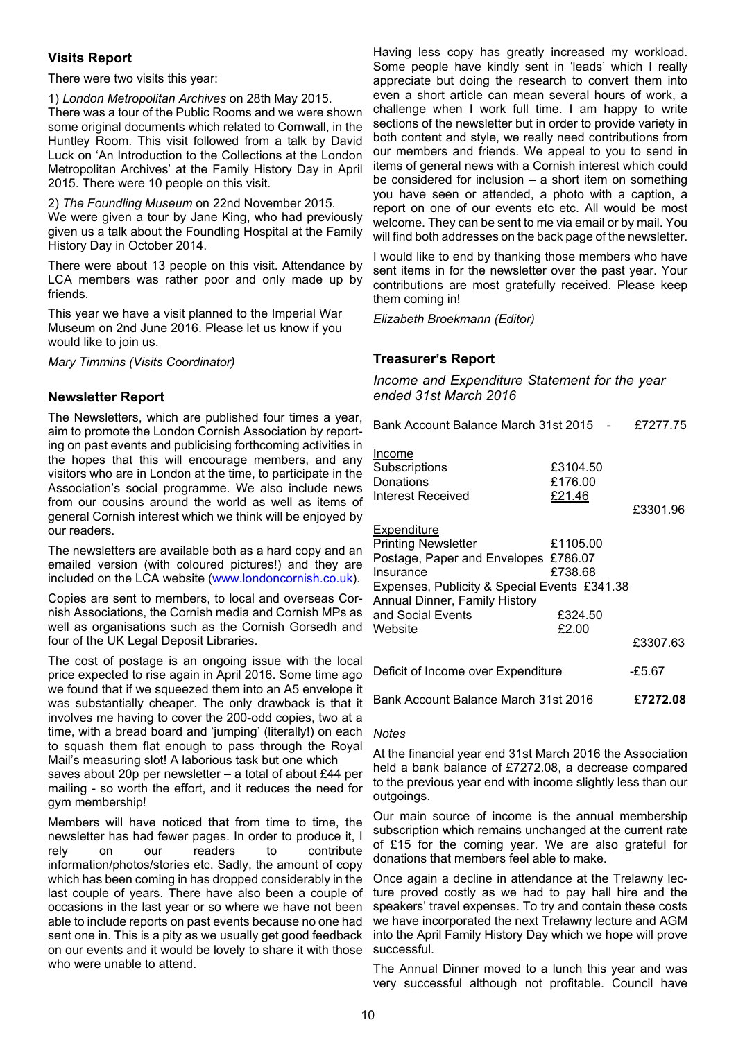### **Visits Report**

There were two visits this year:

1) *London Metropolitan Archives* on 28th May 2015.

There was a tour of the Public Rooms and we were shown some original documents which related to Cornwall, in the Huntley Room. This visit followed from a talk by David Luck on 'An Introduction to the Collections at the London Metropolitan Archives' at the Family History Day in April 2015. There were 10 people on this visit.

2) *The Foundling Museum* on 22nd November 2015. We were given a tour by Jane King, who had previously given us a talk about the Foundling Hospital at the Family History Day in October 2014.

There were about 13 people on this visit. Attendance by LCA members was rather poor and only made up by friends.

This year we have a visit planned to the Imperial War Museum on 2nd June 2016. Please let us know if you would like to join us.

*Mary Timmins (Visits Coordinator)*

#### **Newsletter Report**

The Newsletters, which are published four times a year, aim to promote the London Cornish Association by reporting on past events and publicising forthcoming activities in the hopes that this will encourage members, and any visitors who are in London at the time, to participate in the Association's social programme. We also include news from our cousins around the world as well as items of general Cornish interest which we think will be enjoyed by our readers.

The newsletters are available both as a hard copy and an emailed version (with coloured pictures!) and they are included on the LCA website (www.londoncornish.co.uk).

Copies are sent to members, to local and overseas Cornish Associations, the Cornish media and Cornish MPs as well as organisations such as the Cornish Gorsedh and four of the UK Legal Deposit Libraries.

The cost of postage is an ongoing issue with the local price expected to rise again in April 2016. Some time ago we found that if we squeezed them into an A5 envelope it was substantially cheaper. The only drawback is that it involves me having to cover the 200-odd copies, two at a time, with a bread board and 'jumping' (literally!) on each to squash them flat enough to pass through the Royal Mail's measuring slot! A laborious task but one which

saves about 20p per newsletter – a total of about £44 per mailing - so worth the effort, and it reduces the need for gym membership!

Members will have noticed that from time to time, the newsletter has had fewer pages. In order to produce it, I rely on our readers to contribute information/photos/stories etc. Sadly, the amount of copy which has been coming in has dropped considerably in the last couple of years. There have also been a couple of occasions in the last year or so where we have not been able to include reports on past events because no one had sent one in. This is a pity as we usually get good feedback on our events and it would be lovely to share it with those who were unable to attend.

Having less copy has greatly increased my workload. Some people have kindly sent in 'leads' which I really appreciate but doing the research to convert them into even a short article can mean several hours of work, a challenge when I work full time. I am happy to write sections of the newsletter but in order to provide variety in both content and style, we really need contributions from our members and friends. We appeal to you to send in items of general news with a Cornish interest which could be considered for inclusion – a short item on something you have seen or attended, a photo with a caption, a report on one of our events etc etc. All would be most welcome. They can be sent to me via email or by mail. You will find both addresses on the back page of the newsletter.

I would like to end by thanking those members who have sent items in for the newsletter over the past year. Your contributions are most gratefully received. Please keep them coming in!

*Elizabeth Broekmann (Editor)*

#### **Treasurer's Report**

*Income and Expenditure Statement for the year ended 31st March 2016*

| Bank Account Balance March 31st 2015 -                                                                                                                                                                      |                                | £7277.75 |
|-------------------------------------------------------------------------------------------------------------------------------------------------------------------------------------------------------------|--------------------------------|----------|
| Income<br>Subscriptions<br>Donations<br>Interest Received                                                                                                                                                   | £3104.50<br>£176.00<br>£21.46  | £3301.96 |
| <b>Expenditure</b><br><b>Printing Newsletter</b><br>Postage, Paper and Envelopes £786.07<br>Insurance<br>Expenses, Publicity & Special Events £341.38<br>Annual Dinner, Family History<br>and Social Events | £1105.00<br>£738.68<br>£324.50 |          |
| Website                                                                                                                                                                                                     | £2.00                          | £3307.63 |
| Deficit of Income over Expenditure                                                                                                                                                                          |                                | -£5.67   |
| Bank Account Balance March 31st 2016                                                                                                                                                                        |                                | £7272.08 |

#### *Notes*

At the financial year end 31st March 2016 the Association held a bank balance of £7272.08, a decrease compared to the previous year end with income slightly less than our outgoings.

Our main source of income is the annual membership subscription which remains unchanged at the current rate of £15 for the coming year. We are also grateful for donations that members feel able to make.

Once again a decline in attendance at the Trelawny lecture proved costly as we had to pay hall hire and the speakers' travel expenses. To try and contain these costs we have incorporated the next Trelawny lecture and AGM into the April Family History Day which we hope will prove successful.

The Annual Dinner moved to a lunch this year and was very successful although not profitable. Council have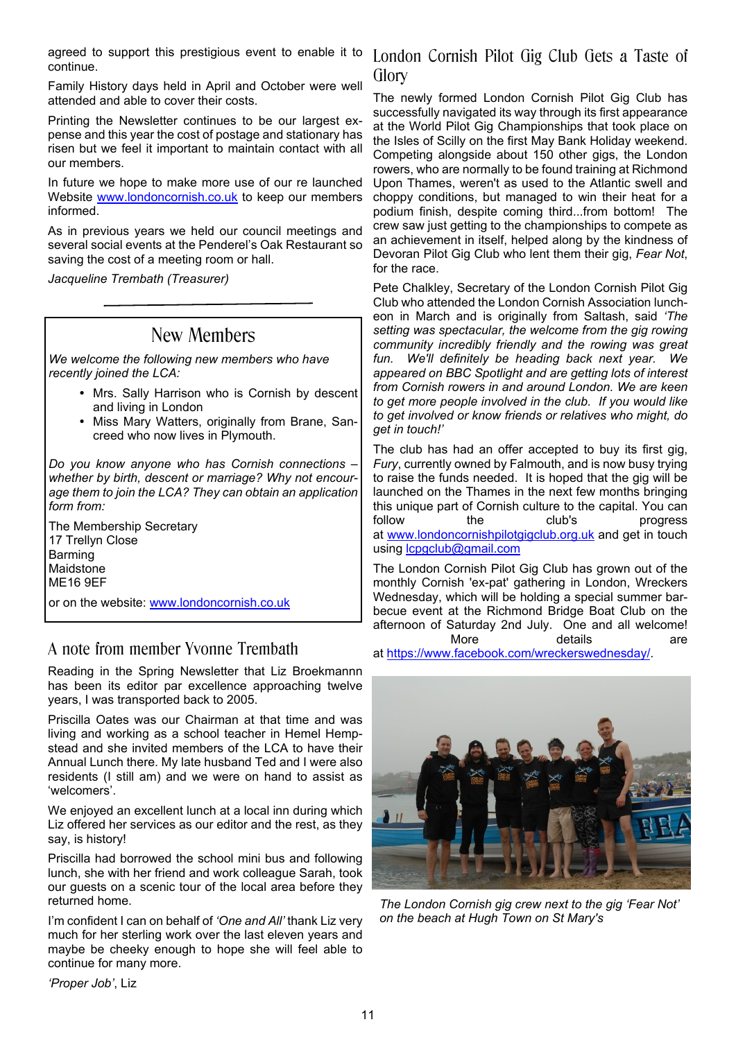agreed to support this prestigious event to enable it to continue.

Family History days held in April and October were well attended and able to cover their costs.

Printing the Newsletter continues to be our largest expense and this year the cost of postage and stationary has risen but we feel it important to maintain contact with all our members.

In future we hope to make more use of our re launched Website www.londoncornish.co.uk to keep our members informed.

As in previous years we held our council meetings and several social events at the Penderel's Oak Restaurant so saving the cost of a meeting room or hall.

*Jacqueline Trembath (Treasurer)*

# New Members

*We welcome the following new members who have recently joined the LCA:*

- Mrs. Sally Harrison who is Cornish by descent and living in London
- Miss Mary Watters, originally from Brane, Sancreed who now lives in Plymouth.

*Do you know anyone who has Cornish connections – whether by birth, descent or marriage? Why not encourage them to join the LCA? They can obtain an application form from:*

The Membership Secretary 17 Trellyn Close **Barming** Maidstone ME16 9EF

or on the website: www.londoncornish.co.uk

# A note from member Yvonne Trembath

Reading in the Spring Newsletter that Liz Broekmannn has been its editor par excellence approaching twelve years, I was transported back to 2005.

Priscilla Oates was our Chairman at that time and was living and working as a school teacher in Hemel Hempstead and she invited members of the LCA to have their Annual Lunch there. My late husband Ted and I were also residents (I still am) and we were on hand to assist as 'welcomers'.

We enjoyed an excellent lunch at a local inn during which Liz offered her services as our editor and the rest, as they say, is history!

Priscilla had borrowed the school mini bus and following lunch, she with her friend and work colleague Sarah, took our guests on a scenic tour of the local area before they returned home.

I'm confident I can on behalf of *'One and All'* thank Liz very much for her sterling work over the last eleven years and maybe be cheeky enough to hope she will feel able to continue for many more.

## London Cornish Pilot Gig Club Gets a Taste of Glory

The newly formed London Cornish Pilot Gig Club has successfully navigated its way through its first appearance at the World Pilot Gig Championships that took place on the Isles of Scilly on the first May Bank Holiday weekend. Competing alongside about 150 other gigs, the London rowers, who are normally to be found training at Richmond Upon Thames, weren't as used to the Atlantic swell and choppy conditions, but managed to win their heat for a podium finish, despite coming third...from bottom! The crew saw just getting to the championships to compete as an achievement in itself, helped along by the kindness of Devoran Pilot Gig Club who lent them their gig, *Fear Not*, for the race.

Pete Chalkley, Secretary of the London Cornish Pilot Gig Club who attended the London Cornish Association luncheon in March and is originally from Saltash, said *'The setting was spectacular, the welcome from the gig rowing community incredibly friendly and the rowing was great fun. We'll definitely be heading back next year. We appeared on BBC Spotlight and are getting lots of interest from Cornish rowers in and around London. We are keen to get more people involved in the club. If you would like to get involved or know friends or relatives who might, do get in touch!'*

The club has had an offer accepted to buy its first gig, *Fury*, currently owned by Falmouth, and is now busy trying to raise the funds needed. It is hoped that the gig will be launched on the Thames in the next few months bringing this unique part of Cornish culture to the capital. You can follow the club's progress at www.londoncornishpilotgigclub.org.uk and get in touch using lcpgclub@gmail.com

The London Cornish Pilot Gig Club has grown out of the monthly Cornish 'ex-pat' gathering in London, Wreckers Wednesday, which will be holding a special summer barbecue event at the Richmond Bridge Boat Club on the afternoon of Saturday 2nd July. One and all welcome! More details are

at https://www.facebook.com/wreckerswednesday/.



*The London Cornish gig crew next to the gig 'Fear Not' on the beach at Hugh Town on St Mary's*

*'Proper Job'*, Liz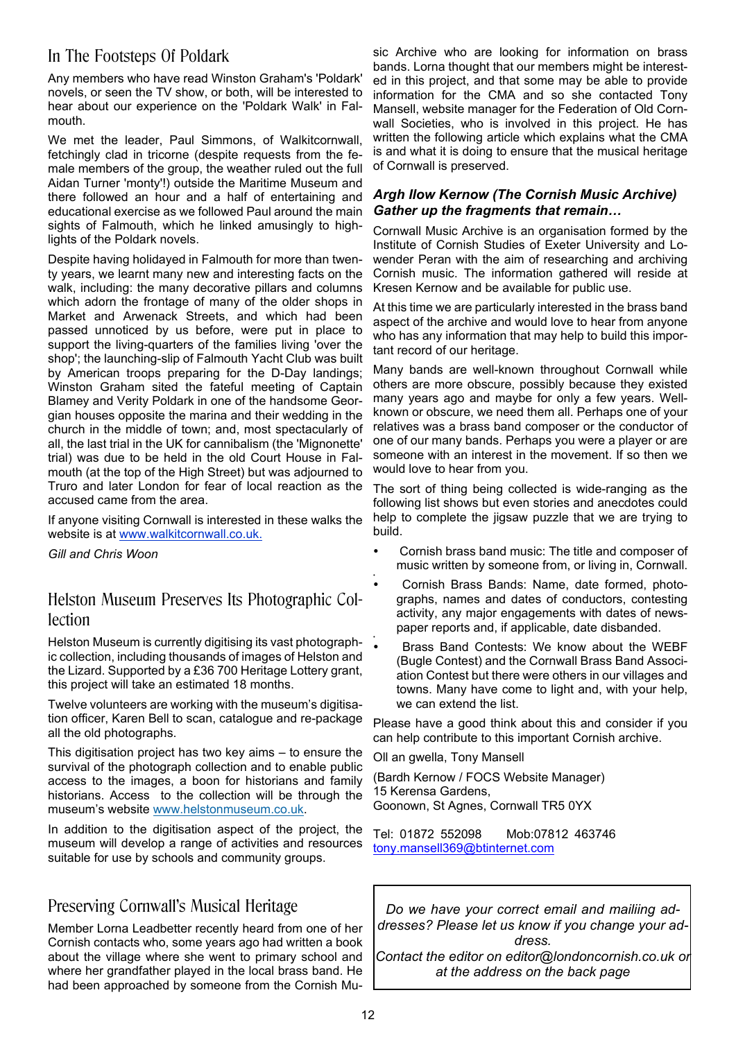# In The Footsteps Of Poldark

Any members who have read Winston Graham's 'Poldark' novels, or seen the TV show, or both, will be interested to hear about our experience on the 'Poldark Walk' in Falmouth.

We met the leader, Paul Simmons, of Walkitcornwall, fetchingly clad in tricorne (despite requests from the female members of the group, the weather ruled out the full Aidan Turner 'monty'!) outside the Maritime Museum and there followed an hour and a half of entertaining and educational exercise as we followed Paul around the main sights of Falmouth, which he linked amusingly to highlights of the Poldark novels.

Despite having holidayed in Falmouth for more than twenty years, we learnt many new and interesting facts on the walk, including: the many decorative pillars and columns which adorn the frontage of many of the older shops in Market and Arwenack Streets, and which had been passed unnoticed by us before, were put in place to support the living-quarters of the families living 'over the shop'; the launching-slip of Falmouth Yacht Club was built by American troops preparing for the D-Day landings; Winston Graham sited the fateful meeting of Captain Blamey and Verity Poldark in one of the handsome Georgian houses opposite the marina and their wedding in the church in the middle of town; and, most spectacularly of all, the last trial in the UK for cannibalism (the 'Mignonette' trial) was due to be held in the old Court House in Falmouth (at the top of the High Street) but was adjourned to Truro and later London for fear of local reaction as the accused came from the area.

If anyone visiting Cornwall is interested in these walks the website is at www.walkitcornwall.co.uk.

*Gill and Chris Woon*

## Helston Museum Preserves Its Photographic Collection

Helston Museum is currently digitising its vast photographic collection, including thousands of images of Helston and the Lizard. Supported by a £36 700 Heritage Lottery grant, this project will take an estimated 18 months.

Twelve volunteers are working with the museum's digitisation officer, Karen Bell to scan, catalogue and re-package all the old photographs.

This digitisation project has two key aims – to ensure the survival of the photograph collection and to enable public access to the images, a boon for historians and family historians. Access to the collection will be through the museum's website www.helstonmuseum.co.uk.

In addition to the digitisation aspect of the project, the museum will develop a range of activities and resources suitable for use by schools and community groups.

## Preserving Cornwall's Musical Heritage

Member Lorna Leadbetter recently heard from one of her Cornish contacts who, some years ago had written a book about the village where she went to primary school and where her grandfather played in the local brass band. He had been approached by someone from the Cornish Mu-

sic Archive who are looking for information on brass bands. Lorna thought that our members might be interested in this project, and that some may be able to provide information for the CMA and so she contacted Tony Mansell, website manager for the Federation of Old Cornwall Societies, who is involved in this project. He has written the following article which explains what the CMA is and what it is doing to ensure that the musical heritage of Cornwall is preserved.

#### *Argh Ilow Kernow (The Cornish Music Archive) Gather up the fragments that remain…*

Cornwall Music Archive is an organisation formed by the Institute of Cornish Studies of Exeter University and Lowender Peran with the aim of researching and archiving Cornish music. The information gathered will reside at Kresen Kernow and be available for public use.

At this time we are particularly interested in the brass band aspect of the archive and would love to hear from anyone who has any information that may help to build this important record of our heritage.

Many bands are well-known throughout Cornwall while others are more obscure, possibly because they existed many years ago and maybe for only a few years. Wellknown or obscure, we need them all. Perhaps one of your relatives was a brass band composer or the conductor of one of our many bands. Perhaps you were a player or are someone with an interest in the movement. If so then we would love to hear from you.

The sort of thing being collected is wide-ranging as the following list shows but even stories and anecdotes could help to complete the jigsaw puzzle that we are trying to build.

- Cornish brass band music: The title and composer of music written by someone from, or living in, Cornwall.
- ü Cornish Brass Bands: Name, date formed, photographs, names and dates of conductors, contesting activity, any major engagements with dates of newspaper reports and, if applicable, date disbanded.
- ü Brass Band Contests: We know about the WEBF (Bugle Contest) and the Cornwall Brass Band Association Contest but there were others in our villages and towns. Many have come to light and, with your help, we can extend the list.

Please have a good think about this and consider if you can help contribute to this important Cornish archive.

Oll an gwella, Tony Mansell

(Bardh Kernow / FOCS Website Manager) 15 Kerensa Gardens, Goonown, St Agnes, Cornwall TR5 0YX

Tel: 01872 552098 Mob:07812 463746 tony.mansell369@btinternet.com

*Do we have your correct email and mailiing addresses? Please let us know if you change your address. Contact the editor on editor@londoncornish.co.uk or at the address on the back page*

ü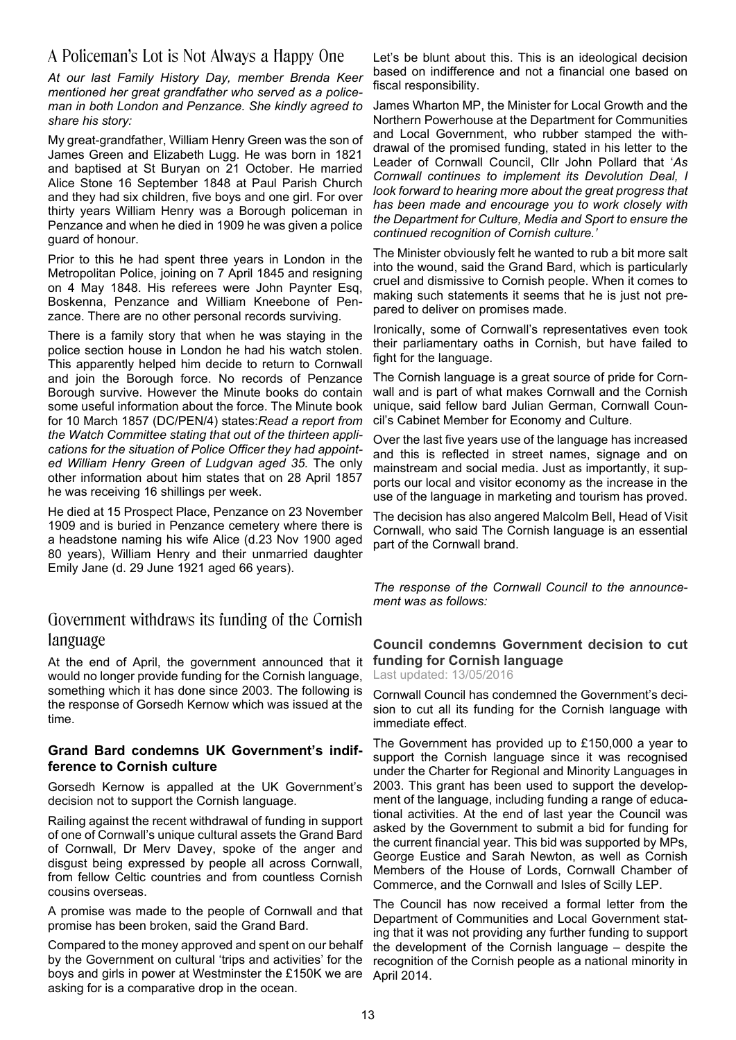# A Policeman's Lot is Not Always a Happy One

*At our last Family History Day, member Brenda Keer mentioned her great grandfather who served as a policeman in both London and Penzance. She kindly agreed to share his story:*

My great-grandfather, William Henry Green was the son of James Green and Elizabeth Lugg. He was born in 1821 and baptised at St Buryan on 21 October. He married Alice Stone 16 September 1848 at Paul Parish Church and they had six children, five boys and one girl. For over thirty years William Henry was a Borough policeman in Penzance and when he died in 1909 he was given a police guard of honour.

Prior to this he had spent three years in London in the Metropolitan Police, joining on 7 April 1845 and resigning on 4 May 1848. His referees were John Paynter Esq, Boskenna, Penzance and William Kneebone of Penzance. There are no other personal records surviving.

There is a family story that when he was staying in the police section house in London he had his watch stolen. This apparently helped him decide to return to Cornwall and join the Borough force. No records of Penzance Borough survive. However the Minute books do contain some useful information about the force. The Minute book for 10 March 1857 (DC/PEN/4) states:*Read a report from the Watch Committee stating that out of the thirteen applications for the situation of Police Officer they had appointed William Henry Green of Ludgvan aged 35.* The only other information about him states that on 28 April 1857 he was receiving 16 shillings per week.

He died at 15 Prospect Place, Penzance on 23 November 1909 and is buried in Penzance cemetery where there is a headstone naming his wife Alice (d.23 Nov 1900 aged 80 years), William Henry and their unmarried daughter Emily Jane (d. 29 June 1921 aged 66 years).

## Government withdraws its funding of the Cornish language

At the end of April, the government announced that it would no longer provide funding for the Cornish language, something which it has done since 2003. The following is the response of Gorsedh Kernow which was issued at the time.

#### **Grand Bard condemns UK Government's indifference to Cornish culture**

Gorsedh Kernow is appalled at the UK Government's decision not to support the Cornish language.

Railing against the recent withdrawal of funding in support of one of Cornwall's unique cultural assets the Grand Bard of Cornwall, Dr Merv Davey, spoke of the anger and disgust being expressed by people all across Cornwall, from fellow Celtic countries and from countless Cornish cousins overseas.

A promise was made to the people of Cornwall and that promise has been broken, said the Grand Bard.

Compared to the money approved and spent on our behalf by the Government on cultural 'trips and activities' for the boys and girls in power at Westminster the £150K we are April 2014.asking for is a comparative drop in the ocean.

Let's be blunt about this. This is an ideological decision based on indifference and not a financial one based on fiscal responsibility.

James Wharton MP, the Minister for Local Growth and the Northern Powerhouse at the Department for Communities and Local Government, who rubber stamped the withdrawal of the promised funding, stated in his letter to the Leader of Cornwall Council, Cllr John Pollard that '*As Cornwall continues to implement its Devolution Deal, I look forward to hearing more about the great progress that has been made and encourage you to work closely with the Department for Culture, Media and Sport to ensure the continued recognition of Cornish culture.'*

The Minister obviously felt he wanted to rub a bit more salt into the wound, said the Grand Bard, which is particularly cruel and dismissive to Cornish people. When it comes to making such statements it seems that he is just not prepared to deliver on promises made.

Ironically, some of Cornwall's representatives even took their parliamentary oaths in Cornish, but have failed to fight for the language.

The Cornish language is a great source of pride for Cornwall and is part of what makes Cornwall and the Cornish unique, said fellow bard Julian German, Cornwall Council's Cabinet Member for Economy and Culture.

Over the last five years use of the language has increased and this is reflected in street names, signage and on mainstream and social media. Just as importantly, it supports our local and visitor economy as the increase in the use of the language in marketing and tourism has proved.

The decision has also angered Malcolm Bell, Head of Visit Cornwall, who said The Cornish language is an essential part of the Cornwall brand.

*The response of the Cornwall Council to the announcement was as follows:*

### **Council condemns Government decision to cut funding for Cornish language**

Last updated: 13/05/2016

Cornwall Council has condemned the Government's decision to cut all its funding for the Cornish language with immediate effect.

The Government has provided up to £150,000 a year to support the Cornish language since it was recognised under the Charter for Regional and Minority Languages in 2003. This grant has been used to support the development of the language, including funding a range of educational activities. At the end of last year the Council was asked by the Government to submit a bid for funding for the current financial year. This bid was supported by MPs, George Eustice and Sarah Newton, as well as Cornish Members of the House of Lords, Cornwall Chamber of Commerce, and the Cornwall and Isles of Scilly LEP.

The Council has now received a formal letter from the Department of Communities and Local Government stating that it was not providing any further funding to support the development of the Cornish language – despite the recognition of the Cornish people as a national minority in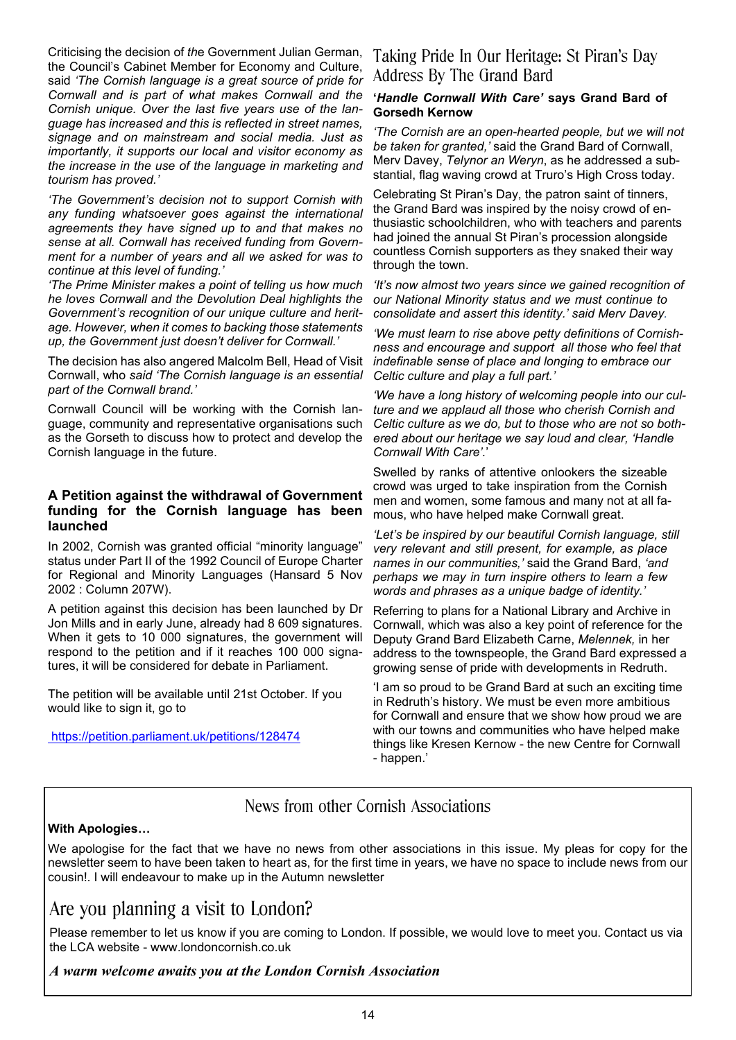Criticising the decision of *th*e Government Julian German, the Council's Cabinet Member for Economy and Culture, said *'The Cornish language is a great source of pride for Cornwall and is part of what makes Cornwall and the Cornish unique. Over the last five years use of the language has increased and this is reflected in street names, signage and on mainstream and social media. Just as importantly, it supports our local and visitor economy as the increase in the use of the language in marketing and tourism has proved.'*

*'The Government's decision not to support Cornish with any funding whatsoever goes against the international agreements they have signed up to and that makes no sense at all. Cornwall has received funding from Government for a number of years and all we asked for was to continue at this level of funding.'*

*'The Prime Minister makes a point of telling us how much he loves Cornwall and the Devolution Deal highlights the Government's recognition of our unique culture and heritage. However, when it comes to backing those statements up, the Government just doesn't deliver for Cornwall.'*

The decision has also angered Malcolm Bell, Head of Visit Cornwall, who *said 'The Cornish language is an essential part of the Cornwall brand.'*

Cornwall Council will be working with the Cornish language, community and representative organisations such as the Gorseth to discuss how to protect and develop the Cornish language in the future.

#### **A Petition against the withdrawal of Government funding for the Cornish language has been launched**

In 2002, Cornish was granted official "minority language" status under Part II of the 1992 Council of Europe Charter for Regional and Minority Languages (Hansard 5 Nov 2002 : Column 207W).

A petition against this decision has been launched by Dr Jon Mills and in early June, already had 8 609 signatures. When it gets to 10 000 signatures, the government will respond to the petition and if it reaches 100 000 signatures, it will be considered for debate in Parliament.

The petition will be available until 21st October. If you would like to sign it, go to

https://petition.parliament.uk/petitions/128474

# Taking Pride In Our Heritage: St Piran's Day Address By The Grand Bard

#### **'***Handle Cornwall With Care'* **says Grand Bard of Gorsedh Kernow**

*'The Cornish are an open-hearted people, but we will not be taken for granted,'* said the Grand Bard of Cornwall, Merv Davey, *Telynor an Weryn*, as he addressed a substantial, flag waving crowd at Truro's High Cross today.

Celebrating St Piran's Day, the patron saint of tinners, the Grand Bard was inspired by the noisy crowd of enthusiastic schoolchildren, who with teachers and parents had joined the annual St Piran's procession alongside countless Cornish supporters as they snaked their way through the town.

*'It's now almost two years since we gained recognition of our National Minority status and we must continue to consolidate and assert this identity.' said Merv Davey.*

*'We must learn to rise above petty definitions of Cornishness and encourage and support all those who feel that indefinable sense of place and longing to embrace our Celtic culture and play a full part.'*

*'We have a long history of welcoming people into our culture and we applaud all those who cherish Cornish and Celtic culture as we do, but to those who are not so bothered about our heritage we say loud and clear, 'Handle Cornwall With Care'.*'

Swelled by ranks of attentive onlookers the sizeable crowd was urged to take inspiration from the Cornish men and women, some famous and many not at all famous, who have helped make Cornwall great.

*'Let's be inspired by our beautiful Cornish language, still very relevant and still present, for example, as place names in our communities,'* said the Grand Bard, *'and perhaps we may in turn inspire others to learn a few words and phrases as a unique badge of identity.'*

Referring to plans for a National Library and Archive in Cornwall, which was also a key point of reference for the Deputy Grand Bard Elizabeth Carne, *Melennek,* in her address to the townspeople, the Grand Bard expressed a growing sense of pride with developments in Redruth.

'I am so proud to be Grand Bard at such an exciting time in Redruth's history. We must be even more ambitious for Cornwall and ensure that we show how proud we are with our towns and communities who have helped make things like Kresen Kernow - the new Centre for Cornwall - happen.'

# News from other Cornish Associations

### **With Apologies…**

We apologise for the fact that we have no news from other associations in this issue. My pleas for copy for the newsletter seem to have been taken to heart as, for the first time in years, we have no space to include news from our cousin!. I will endeavour to make up in the Autumn newsletter

# Are you planning a visit to London?

Please remember to let us know if you are coming to London. If possible, we would love to meet you. Contact us via the LCA website - www.londoncornish.co.uk

## *A warm welcome awaits you at the London Cornish Association*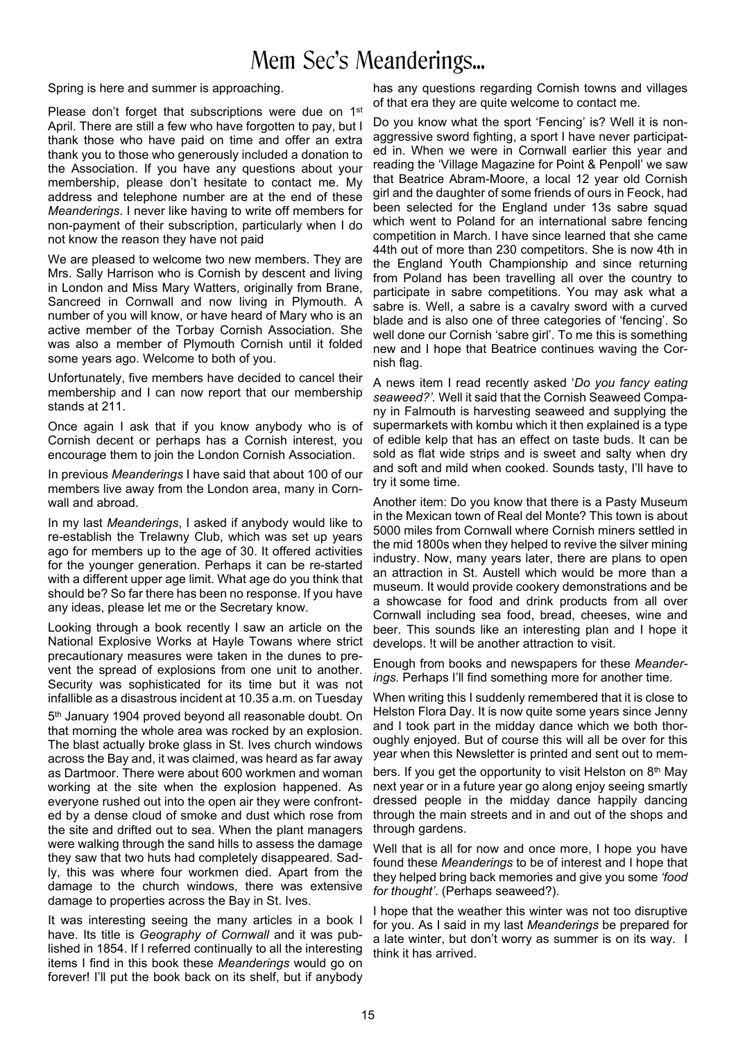# Mem Sec's Meanderings...

Spring is here and summer is approaching.

Please don't forget that subscriptions were due on 1st April. There are still a few who have forgotten to pay, but I thank those who have paid on time and offer an extra thank you to those who generously included a donation to the Association. If you have any questions about your membership, please don't hesitate to contact me. My address and telephone number are at the end of these *Meanderings*. I never like having to write off members for non-payment of their subscription, particularly when I do not know the reason they have not paid

We are pleased to welcome two new members. They are Mrs. Sally Harrison who is Cornish by descent and living in London and Miss Mary Watters, originally from Brane, Sancreed in Cornwall and now living in Plymouth. A number of you will know, or have heard of Mary who is an active member of the Torbay Cornish Association. She was also a member of Plymouth Cornish until it folded some years ago. Welcome to both of you.

Unfortunately, five members have decided to cancel their membership and I can now report that our membership stands at 211.

Once again I ask that if you know anybody who is of Cornish decent or perhaps has a Cornish interest, you encourage them to join the London Cornish Association.

In previous *Meanderings* I have said that about 100 of our members live away from the London area, many in Cornwall and abroad.

In my last *Meanderings*, I asked if anybody would like to re-establish the Trelawny Club, which was set up years ago for members up to the age of 30. It offered activities for the younger generation. Perhaps it can be re-started with a different upper age limit. What age do you think that should be? So far there has been no response. If you have any ideas, please let me or the Secretary know.

Looking through a book recently I saw an article on the National Explosive Works at Hayle Towans where strict precautionary measures were taken in the dunes to prevent the spread of explosions from one unit to another. Security was sophisticated for its time but it was not infallible as a disastrous incident at 10.35 a.m. on Tuesday

5<sup>th</sup> January 1904 proved beyond all reasonable doubt. On that morning the whole area was rocked by an explosion. The blast actually broke glass in St. Ives church windows across the Bay and, it was claimed, was heard as far away as Dartmoor. There were about 600 workmen and woman working at the site when the explosion happened. As everyone rushed out into the open air they were confronted by a dense cloud of smoke and dust which rose from the site and drifted out to sea. When the plant managers were walking through the sand hills to assess the damage they saw that two huts had completely disappeared. Sadly, this was where four workmen died. Apart from the damage to the church windows, there was extensive damage to properties across the Bay in St. Ives.

It was interesting seeing the many articles in a book I have. Its title is *Geography of Cornwall* and it was published in 1854. If I referred continually to all the interesting items I find in this book these *Meanderings* would go on forever! I'll put the book back on its shelf, but if anybody

has any questions regarding Cornish towns and villages of that era they are quite welcome to contact me.

Do you know what the sport 'Fencing' is? Well it is nonaggressive sword fighting, a sport I have never participated in. When we were in Cornwall earlier this year and reading the 'Village Magazine for Point & Penpoll' we saw that Beatrice Abram-Moore, a local 12 year old Cornish girl and the daughter of some friends of ours in Feock, had been selected for the England under 13s sabre squad which went to Poland for an international sabre fencing competition in March. I have since learned that she came 44th out of more than 230 competitors. She is now 4th in the England Youth Championship and since returning from Poland has been travelling all over the country to participate in sabre competitions. You may ask what a sabre is. Well, a sabre is a cavalry sword with a curved blade and is also one of three categories of 'fencing'. So well done our Cornish 'sabre girl'. To me this is something new and I hope that Beatrice continues waving the Cornish flag.

A news item I read recently asked '*Do you fancy eating seaweed?'.* Well it said that the Cornish Seaweed Company in Falmouth is harvesting seaweed and supplying the supermarkets with kombu which it then explained is a type of edible kelp that has an effect on taste buds. It can be sold as flat wide strips and is sweet and salty when dry and soft and mild when cooked. Sounds tasty, I'll have to try it some time.

Another item: Do you know that there is a Pasty Museum in the Mexican town of Real del Monte? This town is about 5000 miles from Cornwall where Cornish miners settled in the mid 1800s when they helped to revive the silver mining industry. Now, many years later, there are plans to open an attraction in St. Austell which would be more than a museum. It would provide cookery demonstrations and be a showcase for food and drink products from all over Cornwall including sea food, bread, cheeses, wine and beer. This sounds like an interesting plan and I hope it develops. !t will be another attraction to visit.

Enough from books and newspapers for these *Meanderings.* Perhaps I'll find something more for another time.

When writing this I suddenly remembered that it is close to Helston Flora Day. It is now quite some years since Jenny and I took part in the midday dance which we both thoroughly enjoyed. But of course this will all be over for this year when this Newsletter is printed and sent out to mem-

bers. If you get the opportunity to visit Helston on  $8<sup>th</sup>$  May next year or in a future year go along enjoy seeing smartly dressed people in the midday dance happily dancing through the main streets and in and out of the shops and through gardens.

Well that is all for now and once more, I hope you have found these *Meanderings* to be of interest and I hope that they helped bring back memories and give you some *'food for thought'*. (Perhaps seaweed?).

I hope that the weather this winter was not too disruptive for you. As I said in my last *Meanderings* be prepared for a late winter, but don't worry as summer is on its way. I think it has arrived.